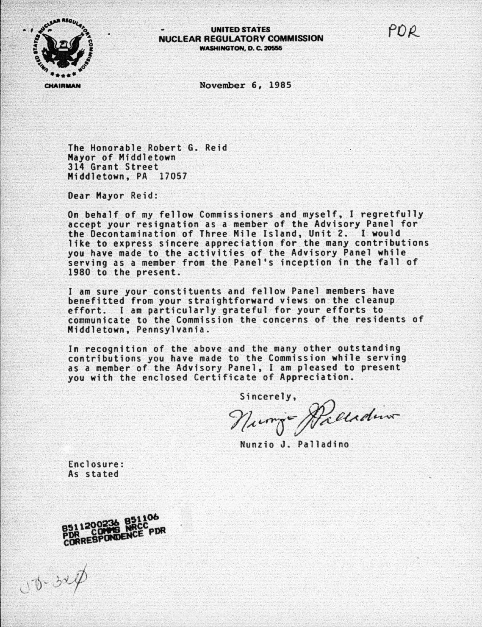

POR



November 6, 1985

The Honorable Robert G. Reid Mayor of Middletown 314 Grant Street Middletown, PA 17057

Dear Mayor Reid:

On behalf of my fellow Commissioners and myself, I regretfully accept your resignation as a member of the Advisory Panel for the Decontamination of Three Mile Island, Unit 2. I would<br>like to express sincere appreciation for the many contributions you have made to the activities of the Advisory Panel while serving as a member from the Panel's inception in the fall of 1980 to the present.

I am sure your constituents and fellow Panel members have benefitted from your straightforward views on the cleanup effort. I am particularly grateful for your efforts to communicate to the Commission the concerns of the residents of Middletown, Pennsylvania.

In recognition of the above and the many other outstanding contributions you have made to the Commission while serving as a member of the Advisory Panel, I am pleased to present you with the enclosed Certificate of Appreciation.

Sincerely,

Nurry Recedin

Nunzio J. Palladino

Enclosure: As stated



 $Ub - 324$